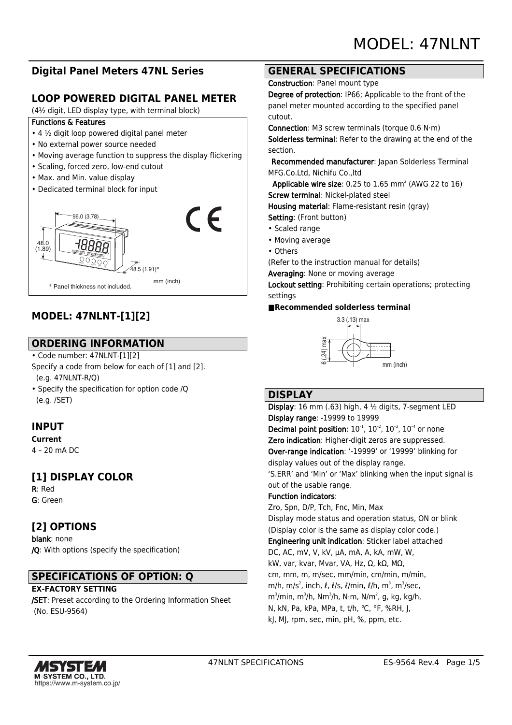# **Digital Panel Meters 47NL Series**

## **LOOP POWERED DIGITAL PANEL METER**

(4½ digit, LED display type, with terminal block)

#### Functions & Features

- 4 ½ digit loop powered digital panel meter
- No external power source needed
- Moving average function to suppress the display flickering
- Scaling, forced zero, low-end cutout
- Max. and Min. value display
- Dedicated terminal block for input



# **MODEL: 47NLNT-[1][2]**

## **ORDERING INFORMATION**

• Code number: 47NLNT-[1][2]

Specify a code from below for each of [1] and [2]. (e.g. 47NLNT-R/Q)

• Specify the specification for option code /Q (e.g. /SET)

## **INPUT**

**Current** 4 – 20 mA DC

# **[1] DISPLAY COLOR**

R: Red G: Green

## **[2] OPTIONS**

blank: none /Q: With options (specify the specification)

## **SPECIFICATIONS OF OPTION: Q**

#### **EX-FACTORY SETTING**

/SET: Preset according to the Ordering Information Sheet (No. ESU-9564)

## **GENERAL SPECIFICATIONS**

Construction: Panel mount type

Degree of protection: IP66; Applicable to the front of the panel meter mounted according to the specified panel cutout.

Connection: M3 screw terminals (torque 0.6 N·m) Solderless terminal: Refer to the drawing at the end of the section.

 Recommended manufacturer: Japan Solderless Terminal MFG.Co.Ltd, Nichifu Co.,ltd

**Applicable wire size:** 0.25 to  $1.65$  mm<sup>2</sup> (AWG 22 to  $16$ ) Screw terminal: Nickel-plated steel

Housing material: Flame-resistant resin (gray)

Setting: (Front button)

- Scaled range
- Moving average
- Others

(Refer to the instruction manual for details)

Averaging: None or moving average

Lockout setting: Prohibiting certain operations; protecting settings

#### **■Recommended solderless terminal**



#### **DISPLAY**

Display: 16 mm (.63) high, 4 ½ digits, 7-segment LED Display range: -19999 to 19999 **Decimal point position:**  $10^{-1}$ ,  $10^{-2}$ ,  $10^{-3}$ ,  $10^{-4}$  or none Zero indication: Higher-digit zeros are suppressed. Over-range indication: '-19999' or '19999' blinking for display values out of the display range. 'S.ERR' and 'Min' or 'Max' blinking when the input signal is out of the usable range. Function indicators: Zro, Spn, D/P, Tch, Fnc, Min, Max Display mode status and operation status, ON or blink (Display color is the same as display color code.) Engineering unit indication: Sticker label attached DC, AC, mV, V, kV, μA, mA, A, kA, mW, W, kW, var, kvar, Mvar, VA, Hz, Ω, kΩ, MΩ, cm, mm, m, m/sec, mm/min, cm/min, m/min, m/h, m/s $^2$ , inch,  $\ell$ ,  $\ell$ /s,  $\ell$ /min,  $\ell$ /h, m $^3$ , m $^3$ /sec, m $^3$ /min, m $^3$ /h, N $\cdot$ m, N $^2$ , N, kg, kg/h, m $^2$ , y, kg/h, m N, kN, Pa, kPa, MPa, t, t/h, ℃, °F, %RH, J, kJ, MJ, rpm, sec, min, pH, %, ppm, etc.

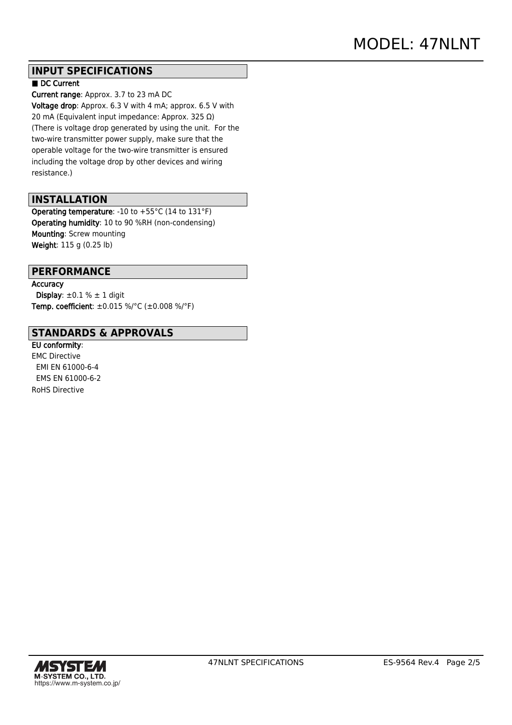## **INPUT SPECIFICATIONS**

#### ■ DC Current

Current range: Approx. 3.7 to 23 mA DC Voltage drop: Approx. 6.3 V with 4 mA; approx. 6.5 V with 20 mA (Equivalent input impedance: Approx. 325 Ω) (There is voltage drop generated by using the unit. For the two-wire transmitter power supply, make sure that the operable voltage for the two-wire transmitter is ensured including the voltage drop by other devices and wiring resistance.)

## **INSTALLATION**

Operating temperature: -10 to +55°C (14 to 131°F) Operating humidity: 10 to 90 %RH (non-condensing) Mounting: Screw mounting Weight: 115 g (0.25 lb)

## **PERFORMANCE**

**Accuracy** Display:  $\pm 0.1$  %  $\pm$  1 digit Temp. coefficient: ±0.015 %/°C (±0.008 %/°F)

#### **STANDARDS & APPROVALS**

EU conformity: EMC Directive EMI EN 61000-6-4 EMS EN 61000-6-2 RoHS Directive

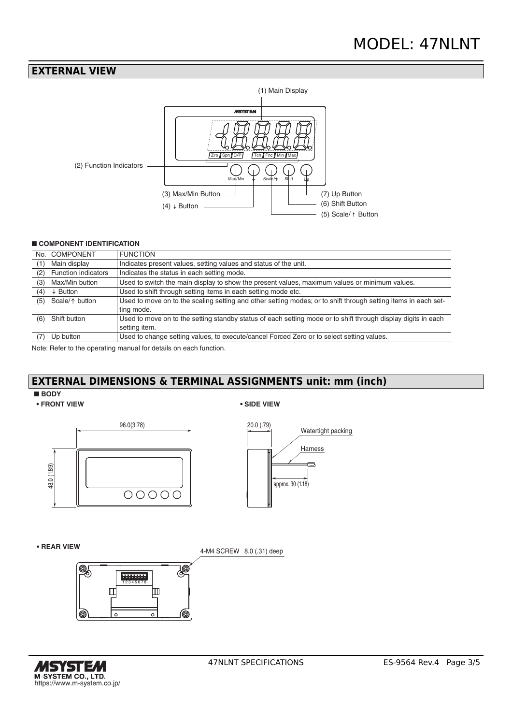#### **EXTERNAL VIEW**



#### ■ **COMPONENT IDENTIFICATION**

| No. | <b>COMPONENT</b>    | <b>FUNCTION</b>                                                                                                |
|-----|---------------------|----------------------------------------------------------------------------------------------------------------|
| (1  | Main display        | Indicates present values, setting values and status of the unit.                                               |
| (2) | Function indicators | Indicates the status in each setting mode.                                                                     |
| (3) | Max/Min button      | Used to switch the main display to show the present values, maximum values or minimum values.                  |
| (4) | $\downarrow$ Button | Used to shift through setting items in each setting mode etc.                                                  |
| (5) | Scale/1 button      | Used to move on to the scaling setting and other setting modes; or to shift through setting items in each set- |
|     |                     | ting mode.                                                                                                     |
| (6) | Shift button        | Used to move on to the setting standby status of each setting mode or to shift through display digits in each  |
|     |                     | setting item.                                                                                                  |
|     | Up button           | Used to change setting values, to execute/cancel Forced Zero or to select setting values.                      |

Note: Refer to the operating manual for details on each function.

# **EXTERNAL DIMENSIONS & TERMINAL ASSIGNMENTS unit: mm (inch)**

#### ■ **BODY**







**• REAR VIEW**

4-M4 SCREW 8.0 (.31) deep



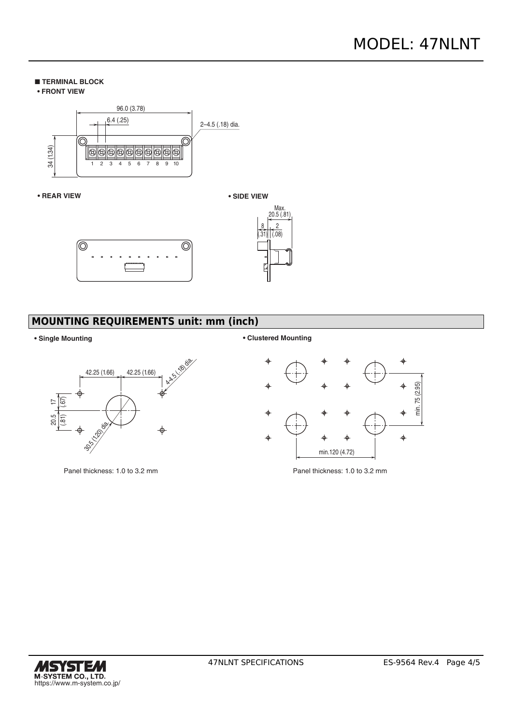#### ■ **TERMINAL BLOCK**





#### **• REAR VIEW**





# **MOUNTING REQUIREMENTS unit: mm (inch)**



Panel thickness: 1.0 to 3.2 mm Panel thickness: 1.0 to 3.2 mm

#### **• Single Mounting • Clustered Mounting**